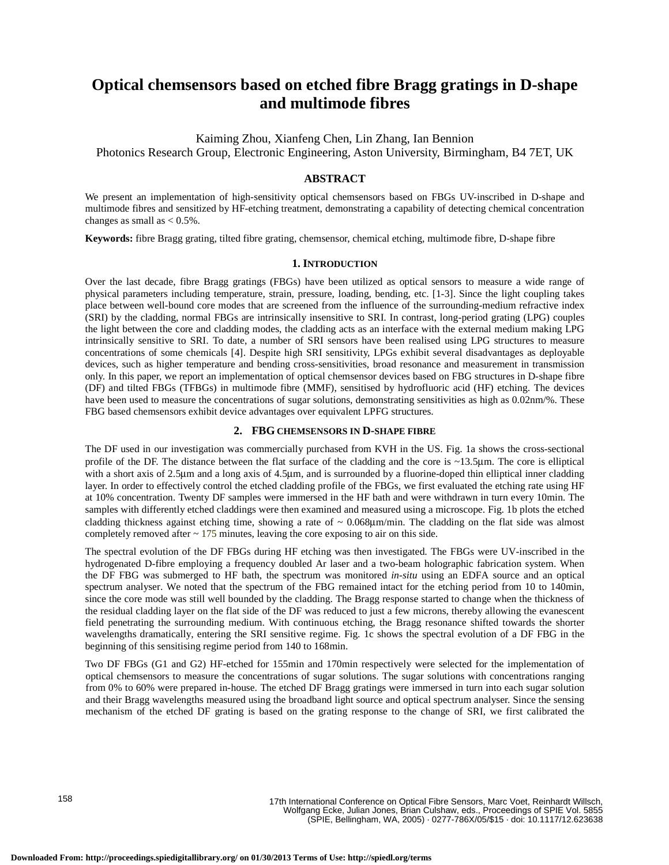# **Optical chemsensors based on etched fibre Bragg gratings in D-shape and multimode fibres**

Kaiming Zhou, Xianfeng Chen, Lin Zhang, Ian Bennion Photonics Research Group, Electronic Engineering, Aston University, Birmingham, B4 7ET, UK

## **ABSTRACT**

We present an implementation of high-sensitivity optical chemsensors based on FBGs UV-inscribed in D-shape and multimode fibres and sensitized by HF-etching treatment, demonstrating a capability of detecting chemical concentration changes as small as  $< 0.5\%$ .

**Keywords:** fibre Bragg grating, tilted fibre grating, chemsensor, chemical etching, multimode fibre, D-shape fibre

### **1. INTRODUCTION**

Over the last decade, fibre Bragg gratings (FBGs) have been utilized as optical sensors to measure a wide range of physical parameters including temperature, strain, pressure, loading, bending, etc. [1-3]. Since the light coupling takes place between well-bound core modes that are screened from the influence of the surrounding-medium refractive index (SRI) by the cladding, normal FBGs are intrinsically insensitive to SRI. In contrast, long-period grating (LPG) couples the light between the core and cladding modes, the cladding acts as an interface with the external medium making LPG intrinsically sensitive to SRI. To date, a number of SRI sensors have been realised using LPG structures to measure concentrations of some chemicals [4]. Despite high SRI sensitivity, LPGs exhibit several disadvantages as deployable devices, such as higher temperature and bending cross-sensitivities, broad resonance and measurement in transmission only. In this paper, we report an implementation of optical chemsensor devices based on FBG structures in D-shape fibre (DF) and tilted FBGs (TFBGs) in multimode fibre (MMF), sensitised by hydrofluoric acid (HF) etching. The devices have been used to measure the concentrations of sugar solutions, demonstrating sensitivities as high as  $0.02 \text{nm}/\%$ . These FBG based chemsensors exhibit device advantages over equivalent LPFG structures.

#### **2. FBG CHEMSENSORS IN D-SHAPE FIBRE**

The DF used in our investigation was commercially purchased from KVH in the US. Fig. 1a shows the cross-sectional profile of the DF. The distance between the flat surface of the cladding and the core is ~13.5 $\mu$ m. The core is elliptical with a short axis of 2.5 $\mu$ m and a long axis of 4.5 $\mu$ m, and is surrounded by a fluorine-doped thin elliptical inner cladding layer. In order to effectively control the etched cladding profile of the FBGs, we first evaluated the etching rate using HF at 10% concentration. Twenty DF samples were immersed in the HF bath and were withdrawn in turn every 10min. The samples with differently etched claddings were then examined and measured using a microscope. Fig. 1b plots the etched cladding thickness against etching time, showing a rate of  $\sim 0.068 \mu m/min$ . The cladding on the flat side was almost completely removed after ~ 175 minutes, leaving the core exposing to air on this side.

The spectral evolution of the DF FBGs during HF etching was then investigated. The FBGs were UV-inscribed in the hydrogenated D-fibre employing a frequency doubled Ar laser and a two-beam holographic fabrication system. When the DF FBG was submerged to HF bath, the spectrum was monitored *in-situ* using an EDFA source and an optical spectrum analyser. We noted that the spectrum of the FBG remained intact for the etching period from 10 to 140min, since the core mode was still well bounded by the cladding. The Bragg response started to change when the thickness of the residual cladding layer on the flat side of the DF was reduced to just a few microns, thereby allowing the evanescent field penetrating the surrounding medium. With continuous etching, the Bragg resonance shifted towards the shorter wavelengths dramatically, entering the SRI sensitive regime. Fig. 1c shows the spectral evolution of a DF FBG in the beginning of this sensitising regime period from 140 to 168min.

Two DF FBGs (G1 and G2) HF-etched for 155min and 170min respectively were selected for the implementation of optical chemsensors to measure the concentrations of sugar solutions. The sugar solutions with concentrations ranging from 0% to 60% were prepared in-house. The etched DF Bragg gratings were immersed in turn into each sugar solution and their Bragg wavelengths measured using the broadband light source and optical spectrum analyser. Since the sensing mechanism of the etched DF grating is based on the grating response to the change of SRI, we first calibrated the

158

17th International Conference on Optical Fibre Sensors, Marc Voet, Reinhardt Willsch, Wolfgang Ecke, Julian Jones, Brian Culshaw, eds., Proceedings of SPIE Vol. 5855 (SPIE, Bellingham, WA, 2005) · 0277-786X/05/\$15 · doi: 10.1117/12.623638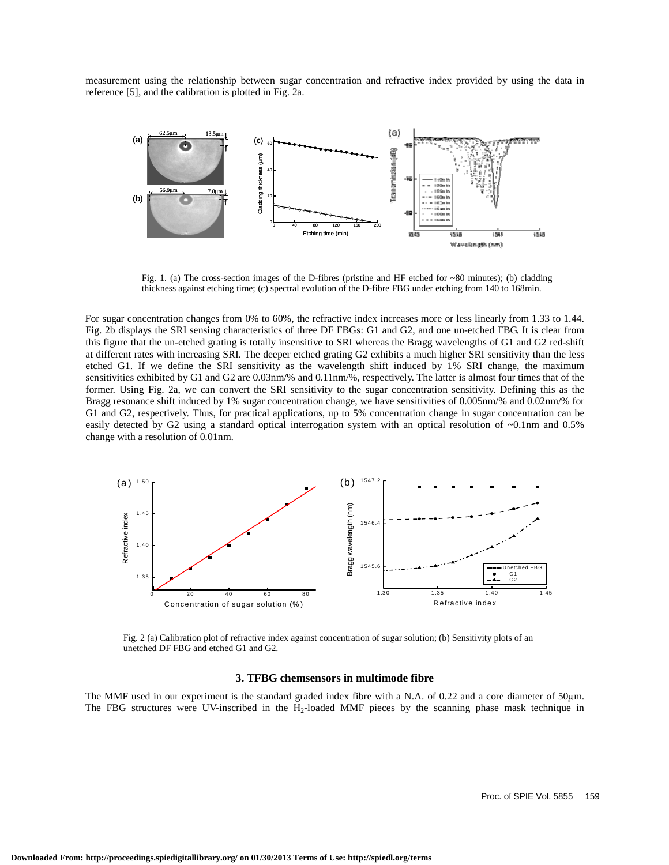measurement using the relationship between sugar concentration and refractive index provided by using the data in reference [5], and the calibration is plotted in Fig. 2a.



Fig. 1. (a) The cross-section images of the D-fibres (pristine and HF etched for  $\sim 80$  minutes); (b) cladding thickness against etching time; (c) spectral evolution of the D-fibre FBG under etching from 140 to 168min.

For sugar concentration changes from 0% to 60%, the refractive index increases more or less linearly from 1.33 to 1.44. Fig. 2b displays the SRI sensing characteristics of three DF FBGs: G1 and G2, and one un-etched FBG. It is clear from this figure that the un-etched grating is totally insensitive to SRI whereas the Bragg wavelengths of G1 and G2 red-shift at different rates with increasing SRI. The deeper etched grating G2 exhibits a much higher SRI sensitivity than the less etched G1. If we define the SRI sensitivity as the wavelength shift induced by 1% SRI change, the maximum sensitivities exhibited by G1 and G2 are 0.03nm/% and 0.11nm/%, respectively. The latter is almost four times that of the former. Using Fig. 2a, we can convert the SRI sensitivity to the sugar concentration sensitivity. Defining this as the Bragg resonance shift induced by 1% sugar concentration change, we have sensitivities of 0.005nm/% and 0.02nm/% for G1 and G2, respectively. Thus, for practical applications, up to 5% concentration change in sugar concentration can be easily detected by G2 using a standard optical interrogation system with an optical resolution of ~0.1nm and 0.5% change with a resolution of 0.01nm.



Fig. 2 (a) Calibration plot of refractive index against concentration of sugar solution; (b) Sensitivity plots of an unetched DF FBG and etched G1 and G2.

### **3. TFBG chemsensors in multimode fibre**

The MMF used in our experiment is the standard graded index fibre with a N.A. of 0.22 and a core diameter of 50 m. The FBG structures were UV-inscribed in the H<sub>2</sub>-loaded MMF pieces by the scanning phase mask technique in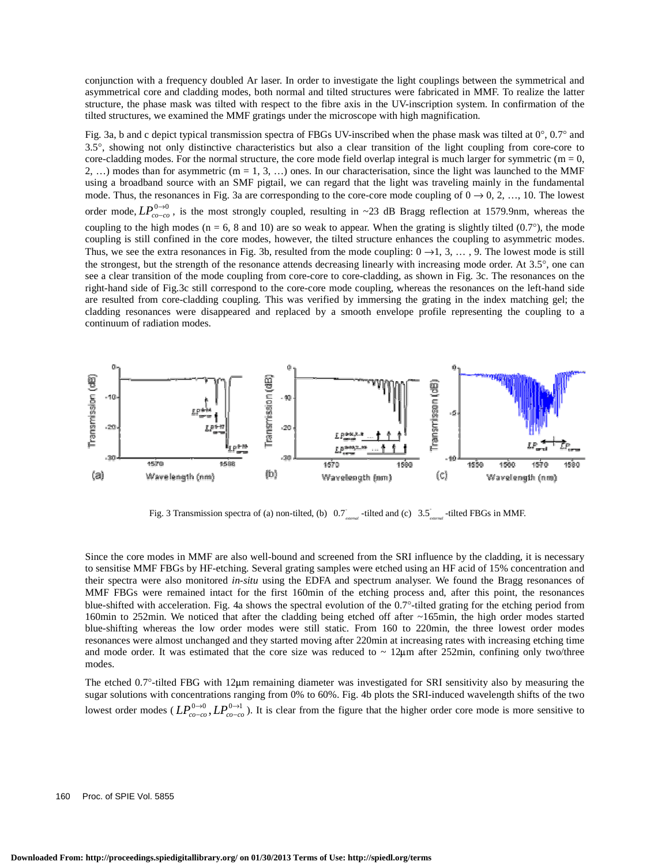conjunction with a frequency doubled Ar laser. In order to investigate the light couplings between the symmetrical and asymmetrical core and cladding modes, both normal and tilted structures were fabricated in MMF. To realize the latter structure, the phase mask was tilted with respect to the fibre axis in the UV-inscription system. In confirmation of the tilted structures, we examined the MMF gratings under the microscope with high magnification.

Fig. 3a, b and c depict typical transmission spectra of FBGs UV-inscribed when the phase mask was tilted at 0°, 0.7° and 3.5°, showing not only distinctive characteristics but also a clear transition of the light coupling from core-core to core-cladding modes. For the normal structure, the core mode field overlap integral is much larger for symmetric ( $m = 0$ , 2, ...) modes than for asymmetric (m = 1, 3, ...) ones. In our characterisation, since the light was launched to the MMF using a broadband source with an SMF pigtail, we can regard that the light was traveling mainly in the fundamental mode. Thus, the resonances in Fig. 3a are corresponding to the core-core mode coupling of  $0 \rightarrow 0, 2, \ldots, 10$ . The lowest order mode,  $LP_{co-co}^{0\to0}$ , is the most strongly coupled, resulting in ~23 dB Bragg reflection at 1579.9nm, whereas the coupling to the high modes ( $n = 6$ , 8 and 10) are so weak to appear. When the grating is slightly tilted (0.7°), the mode coupling is still confined in the core modes, however, the tilted structure enhances the coupling to asymmetric modes. Thus, we see the extra resonances in Fig. 3b, resulted from the mode coupling:  $0 \rightarrow 1, 3, \ldots, 9$ . The lowest mode is still the strongest, but the strength of the resonance attends decreasing linearly with increasing mode order. At 3.5°, one can see a clear transition of the mode coupling from core-core to core-cladding, as shown in Fig. 3c. The resonances on the right-hand side of Fig.3c still correspond to the core-core mode coupling, whereas the resonances on the left-hand side are resulted from core-cladding coupling. This was verified by immersing the grating in the index matching gel; the cladding resonances were disappeared and replaced by a smooth envelope profile representing the coupling to a continuum of radiation modes.



Fig. 3 Transmission spectra of (a) non-tilted, (b) 0.7<sup>e</sup><sub>caternal</sub> -tilted and (c) 3.5<sup>e</sup><sub>caternal</sub> -tilted FBGs in MMF.

Since the core modes in MMF are also well-bound and screened from the SRI influence by the cladding, it is necessary to sensitise MMF FBGs by HF-etching. Several grating samples were etched using an HF acid of 15% concentration and their spectra were also monitored *in-situ* using the EDFA and spectrum analyser. We found the Bragg resonances of MMF FBGs were remained intact for the first 160min of the etching process and, after this point, the resonances blue-shifted with acceleration. Fig. 4a shows the spectral evolution of the 0.7°-tilted grating for the etching period from 160min to 252min. We noticed that after the cladding being etched off after ~165min, the high order modes started blue-shifting whereas the low order modes were still static. From 160 to 220min, the three lowest order modes resonances were almost unchanged and they started moving after 220min at increasing rates with increasing etching time and mode order. It was estimated that the core size was reduced to  $\sim 12 \mu m$  after 252min, confining only two/three modes.

The etched  $0.7^\circ$ -tilted FBG with  $12\mu$ m remaining diameter was investigated for SRI sensitivity also by measuring the sugar solutions with concentrations ranging from 0% to 60%. Fig. 4b plots the SRI-induced wavelength shifts of the two lowest order modes ( $LP_{co-co}^{0\to 0}$ ,  $LP_{co-co}^{0\to 1}$ ). It is clear from the figure that the higher order core mode is more sensitive to